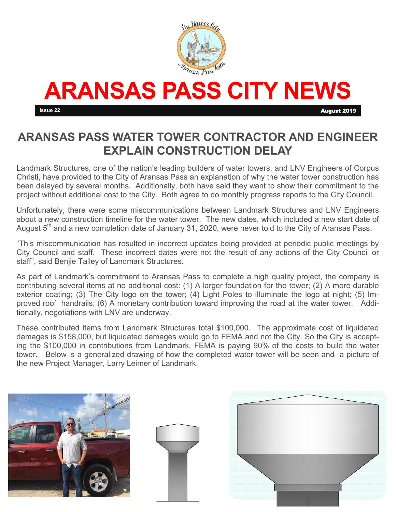

# **ARANSAS PASS CITY NEWS**

**Issue 22 August 2019** 

### **ARANSAS PASS WATER TOWER CONTRACTOR AND ENGINEER EXPLAIN CONSTRUCTION DELAY**

Landmark Structures, one of the nation's leading builders of water towers, and LNV Engineers of Corpus Christi, have provided to the City of Aransas Pass an explanation of why the water tower construction has been delayed by several months. Additionally, both have said they want to show their commitment to the project without additional cost to the City. Both agree to do monthly progress reports to the City Council.

Unfortunately, there were some miscommunications between Landmark Structures and LNV Engineers about a new construction timeline for the water tower. The new dates, which included a new start date of August  $5<sup>th</sup>$  and a new completion date of January 31, 2020, were never told to the City of Aransas Pass.

"This miscommunication has resulted in incorrect updates being provided at periodic public meetings by City Council and staff. These incorrect dates were not the result of any actions of the City Council or staff", said Benjie Talley of Landmark Structures.

As part of Landmark's commitment to Aransas Pass to complete a high quality project, the company is contributing several items at no additional cost: (1) A larger foundation for the tower; (2) A more durable exterior coating; (3) The City logo on the tower; (4) Light Poles to illuminate the logo at night; (5) Improved roof handrails; (6) A monetary contribution toward improving the road at the water tower. Additionally, negotiations with LNV are underway.

These contributed items from Landmark Structures total \$100,000. The approximate cost of liquidated damages is \$158,000, but liquidated damages would go to FEMA and not the City. So the City is accepting the \$100,000 in contributions from Landmark. FEMA is paying 90% of the costs to build the water tower. Below is a generalized drawing of how the completed water tower will be seen and a picture of the new Project Manager, Larry Leimer of Landmark.





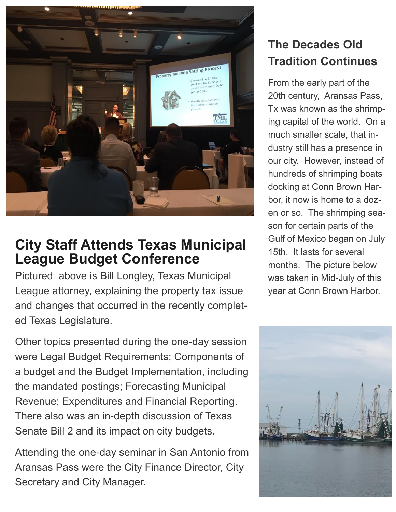

## **City Staff Attends Texas Municipal League Budget Conference**

Pictured above is Bill Longley, Texas Municipal League attorney, explaining the property tax issue and changes that occurred in the recently completed Texas Legislature.

Other topics presented during the one-day session were Legal Budget Requirements; Components of a budget and the Budget Implementation, including the mandated postings; Forecasting Municipal Revenue; Expenditures and Financial Reporting. There also was an in-depth discussion of Texas Senate Bill 2 and its impact on city budgets.

Attending the one-day seminar in San Antonio from Aransas Pass were the City Finance Director, City Secretary and City Manager.

## **The Decades Old Tradition Continues**

From the early part of the 20th century, Aransas Pass, Tx was known as the shrimping capital of the world. On a much smaller scale, that industry still has a presence in our city. However, instead of hundreds of shrimping boats docking at Conn Brown Harbor, it now is home to a dozen or so. The shrimping season for certain parts of the Gulf of Mexico began on July 15th. It lasts for several months. The picture below was taken in Mid-July of this year at Conn Brown Harbor.

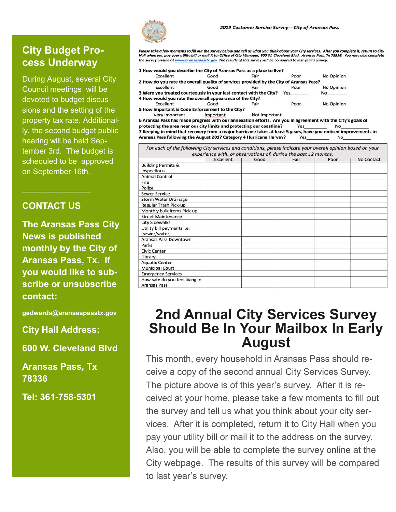#### **City Budget Process Underway**

During August, several City Council meetings will be devoted to budget discussions and the setting of the property tax rate. Additionally, the second budget public hearing will be held September 3rd. The budget is scheduled to be approved on September 16th.

#### **CONTACT US**

 $\mathcal{L}_\text{max}$  and  $\mathcal{L}_\text{max}$  and  $\mathcal{L}_\text{max}$ 

**The Aransas Pass City News is published monthly by the City of Aransas Pass, Tx. If you would like to subscribe or unsubscribe contact:**

**gedwards@aransaspasstx.gov**

**City Hall Address:**

**600 W. Cleveland Blvd**

**Aransas Pass, Tx 78336**

**Tel: 361-758-5301**

Yes

No

.<br>Nease take a few moments to fill out the survey below and tell us what you think about your City services. After you complete it, return to City Hall when you pay your utility bill or mail it to: Office of City Manager, 600 W. Cleveland Blvd. Aransas Pass, Tx 78336. You may also complete the survey on-line at www.aransaspasstx.gov The results of this survey will be compared to last year's survey.

| Excellent                                                                                | Good | Fair | Poor | No Opinion     |
|------------------------------------------------------------------------------------------|------|------|------|----------------|
| 2. How do you rate the overall quality of services provided by the City of Aransas Pass? |      |      |      |                |
| Excellent                                                                                | Good | Fair | Poor | No Opinion     |
| 3. Were you treated courteously in your last contact with the City?                      |      |      | Yes  | N <sub>o</sub> |
| 4. How would you rate the overall appearance of the City?                                |      |      |      |                |
| Excellent                                                                                | Good | Fair | Poor | No Opinion     |
| 5. How important is Code Enforcement to the City?                                        |      |      |      |                |
|                                                                                          |      |      |      |                |

Very Important Important Not Important

6. Aransas Pass has made progress with our annexation efforts. Are you in agreement with the City's goals of protecting the area near our city limits and protecting our coastline? Yes No 7. Keeping in mind that recovery from a major hurricane takes at least 5 years, have you noticed improvements in Aransas Pass following the August 2017 Category 4 Hurricane Harvey?

|                                | Excellent | Good | Fair | Poor | <b>No Contact</b> |
|--------------------------------|-----------|------|------|------|-------------------|
| <b>Building Permits &amp;</b>  |           |      |      |      |                   |
| Inspections                    |           |      |      |      |                   |
| <b>Animal Control</b>          |           |      |      |      |                   |
| Fire                           |           |      |      |      |                   |
| Police                         |           |      |      |      |                   |
| <b>Sewer Service</b>           |           |      |      |      |                   |
| <b>Storm Water Drainage</b>    |           |      |      |      |                   |
| Regular Trash Pick-up          |           |      |      |      |                   |
| Monthly bulk items Pick-up     |           |      |      |      |                   |
| <b>Street Maintenance</b>      |           |      |      |      |                   |
| <b>City Sidewalks</b>          |           |      |      |      |                   |
| Utility bill payments i.e.     |           |      |      |      |                   |
| (sewer/water)                  |           |      |      |      |                   |
| <b>Aransas Pass Downtown</b>   |           |      |      |      |                   |
| Parks                          |           |      |      |      |                   |
| <b>Civic Center</b>            |           |      |      |      |                   |
| Library                        |           |      |      |      |                   |
| <b>Aquatic Center</b>          |           |      |      |      |                   |
| <b>Municipal Court</b>         |           |      |      |      |                   |
| <b>Emergency Services</b>      |           |      |      |      |                   |
| How safe do you feel living in |           |      |      |      |                   |
| <b>Aransas Pass</b>            |           |      |      |      |                   |

## **2nd Annual City Services Survey Should Be In Your Mailbox In Early August**

This month, every household in Aransas Pass should receive a copy of the second annual City Services Survey. The picture above is of this year's survey. After it is received at your home, please take a few moments to fill out the survey and tell us what you think about your city services. After it is completed, return it to City Hall when you pay your utility bill or mail it to the address on the survey. Also, you will be able to complete the survey online at the City webpage. The results of this survey will be compared to last year's survey.